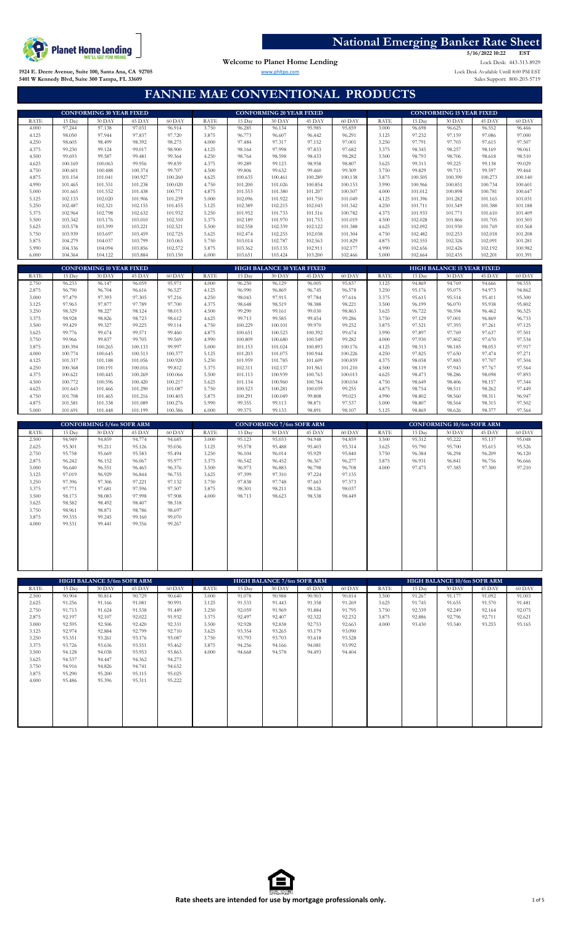

Welcome to Planet Home Lending

2022 10:22 EST<br>Lock Desk: 443-313-8929 **5/16/2022 10:22**

Sales Support: 800-203-5719 www.phltpo.com Lock Desk Available Untill 8:00 PM EST

**1924 E. Deere Avenue, Suite 100, Santa Ana, CA 92705 5401 W Kennedy Blvd, Suite 300 Tampa, FL 33609**

# **FANNIE MAE CONVENTIONAL PRODUCTS**

|                |                    | <b>CONFORMING 30 YEAR FIXED</b> |                    |                    |                |                    | <b>CONFORMING 20 YEAR FIXED</b>   |                    |                    |                |                    | <b>CONFORMING 15 YEAR FIXED</b>   |                    |                    |
|----------------|--------------------|---------------------------------|--------------------|--------------------|----------------|--------------------|-----------------------------------|--------------------|--------------------|----------------|--------------------|-----------------------------------|--------------------|--------------------|
| <b>RATE</b>    | 15 Day             | 30 DAY                          | 45 DAY             | 60 DAY             | <b>RATE</b>    | 15 Day             | 30 DAY                            | 45 DAY             | 60 DAY             | <b>RATE</b>    | 15 Day             | 30 DAY                            | 45 DAY             | 60 DAY             |
| 4.000          | 97.244             | 97.138                          | 97.031             | 96.914             | 3.750          | 96.285             | 96.134                            | 95.985             | 95.859             | 3.000          | 96.698             | 96.625                            | 96.552             | 96.466             |
| 4.125          | 98.050             | 97.944                          | 97.837             | 97.720             | 3.875          | 96.773             | 96.607                            | 96.442             | 96.291             | 3.125          | 97.232             | 97.159                            | 97.086             | 97.000             |
| 4.250          | 98.605             | 98.499                          | 98.392             | 98.275             | 4.000          | 97.484             | 97.317                            | 97.152             | 97.001             | 3.250          | 97.791             | 97.703                            | 97.615             | 97.507             |
| 4.375          | 99.230             | 99.124                          | 99.017             | 98.900             | 4.125          | 98.164             | 97.998                            | 97.833             | 97.682             | 3.375          | 98.345             | 98.257                            | 98.169             | 98.061             |
| 4.500          | 99.693             | 99.587                          | 99.481             | 99.364             | 4.250          | 98.764             | 98.598                            | 98.433             | 98.282             | 3.500          | 98.793             | 98.706                            | 98.618             | 98.510             |
| 4.625          | 100.169            | 100.063                         | 99.956             | 99.839             | 4.375          | 99.289             | 99.123                            | 98.958             | 98.807             | 3.625          | 99.313             | 99.225                            | 99.138             | 99.029             |
| 4.750          | 100.601            | 100.488                         | 100.374            | 99.707             | 4.500          | 99.806             | 99.632                            | 99.460             | 99.309             | 3.750          | 99.829             | 99.715                            | 99.597             | 99.464             |
| 4.875          | 101.154            | 101.041                         | 100.927            | 100.260            | 4.625          | 100.635            | 100.461                           | 100.289            | 100.138            | 3.875          | 100.505            | 100.390                           | 100.273            | 100.140            |
| 4.990          | 101.465            | 101.351                         | 101.238            | 100.020            | 4.750          | 101.200            | 101.026                           | 100.854            | 100.153            | 3.990          | 100.966            | 100.851                           | 100.734            | 100.601            |
| 5.000          | 101.665            | 101.552                         | 101.438            | 100.771            | 4.875          | 101.553            | 101.380                           | 101.207            | 100.507            | 4.000          | 101.012            | 100.898                           | 100.781            | 100.647            |
| 5.125<br>5.250 | 102.133<br>102.487 | 102.020<br>102.321              | 101.906            | 101.239            | 5.000<br>5.125 | 102.096            | 101.922                           | 101.750            | 101.049            | 4.125<br>4.250 | 101.396            | 101.282                           | 101.165            | 101.031            |
| 5.375          | 102.964            | 102.798                         | 102.155<br>102.632 | 101.455<br>101.932 | 5.250          | 102.389<br>101.952 | 102.215<br>101.733                | 102.043<br>101.516 | 101.342<br>100.782 | 4.375          | 101.711<br>101.933 | 101.549<br>101.771                | 101.388<br>101.610 | 101.188<br>101.409 |
| 5.500          | 103.342            | 103.176                         | 103.010            | 102.310            | 5.375          | 102.189            | 101.970                           | 101.753            | 101.019            | 4.500          | 102.028            | 101.866                           | 101.705            | 101.505            |
| 5.625          | 103.578            | 103.399                         | 103.221            | 102.521            | 5.500          | 102.558            | 102.339                           | 102.122            | 101.388            | 4.625          | 102.092            | 101.930                           | 101.769            | 101.568            |
| 5.750          | 103.939            | 103.697                         | 103.459            | 102.725            | 5.625          | 102.474            | 102.255                           | 102.038            | 101.304            | 4.750          | 102.482            | 102.253                           | 102.018            | 101.208            |
| 5.875          | 104.279            | 104.037                         | 103.799            | 103.065            | 5.750          | 103.014            | 102.787                           | 102.563            | 101.829            | 4.875          | 102.555            | 102.326                           | 102.091            | 101.281            |
| 5.990          | 104.336            | 104.094                         | 103.856            | 102.572            | 5.875          | 103.362            | 103.135                           | 102.911            | 102.177            | 4.990          | 102.656            | 102.426                           | 102.192            | 100.982            |
| 6.000          | 104.364            | 104.122                         | 103.884            | 103.150            | 6.000          | 103.651            | 103.424                           | 103.200            | 102.466            | 5.000          | 102.664            | 102.435                           | 102.201            | 101.391            |
|                |                    |                                 |                    |                    |                |                    |                                   |                    |                    |                |                    |                                   |                    |                    |
|                |                    | <b>CONFORMING 10 YEAR FIXED</b> |                    |                    |                |                    | <b>HIGH BALANCE 30 YEAR FIXED</b> |                    |                    |                |                    | <b>HIGH BALANCE 15 YEAR FIXED</b> |                    |                    |
| RATE           | 15 Day             | $30$ DAY                        | 45 DAY             | 60 DAY             | <b>RATE</b>    | 15 Day             | 30 DAY                            | 45 DAY             | 60 DAY             | <b>RATE</b>    | 15 Day             | $30$ DAY                          | 45 DAY             | 60 DAY             |
| 2.750          | 96.233             | 96.147                          | 96.059             | 95.971             | 4.000          | 96.250             | 96.129                            | 96.005             | 95.837             | 3.125          | 94.869             | 94.769                            | 94.666             | 94.555             |
| 2.875          | 96.790             | 96.704                          | 96.616             | 96.527             | 4.125          | 96.990             | 96.869                            | 96.745             | 96.578             | 3.250          | 95.176             | 95.075                            | 94.973             | 94.862             |
| 3.000          | 97.479             | 97.393                          | 97.305             | 97.216             | 4.250          | 98.043             | 97.915                            | 97.784             | 97.616             | 3.375          | 95.615             | 95.514                            | 95.411             | 95.300             |
| 3.125          | 97.963             | 97.877                          | 97.789             | 97.700             | 4.375          | 98.648             | 98.519                            | 98.388             | 98.221             | 3.500          | 96.199             | 96.070                            | 95.938             | 95.802             |
| 3.250          | 98.329             | 98.227                          | 98.124             | 98.013             | 4.500          | 99.290             | 99.161                            | 99.030             | 98.863             | 3.625          | 96.722             | 96.594                            | 96.462             | 96.325             |
| 3.375          | 98.928             | 98.826                          | 98.723             | 98.612             | 4.625          | 99.713             | 99.585                            | 99.454             | 99.286             | 3.750          | 97.129             | 97.001                            | 96.869             | 96.733             |
| 3.500          | 99.429             | 99.327                          | 99.225             | 99.114             | 4.750          | 100.229            | 100.101                           | 99.970             | 99.252             | 3.875          | 97.521             | 97.393                            | 97.261             | 97.125             |
| 3.625          | 99.776             | 99.674                          | 99.571             | 99.460             | 4.875          | 100.651            | 100.523                           | 100.392            | 99.674             | 3.990          | 97.897             | 97.769                            | 97.637             | 97.501             |
| 3.750          | 99.966             | 99.837                          | 99.705             | 99.569             | 4.990          | 100.809            | 100.680                           | 100.549            | 99.282             | 4.000          | 97.930             | 97.802                            | 97.670             | 97.534             |
| 3.875          | 100.394            | 100.265                         | 100.133            | 99.997             | 5.000          | 101.153            | 101.024                           | 100.893            | 100.176            | 4.125          | 98.313             | 98.185                            | 98.053             | 97.917             |
| 4,000          | 100.774            | 100.645                         | 100.513            | 100.377            | 5.125          | 101.203            | 101.075                           | 100.944            | 100.226            | 4.250          | 97.825             | 97.650                            | 97.474             | 97.271             |
| 4.125          | 101.317            | 101.188                         | 101.056            | 100.920            | 5.250          | 101.959            | 101.785                           | 101.609            | 100.859            | 4.375          | 98.058             | 97.883                            | 97.707             | 97.504             |
| 4.250          | 100.368            | 100.191                         | 100.016            | 99.812             | 5.375          | 102.311            | 102.137                           | 101.961            | 101.210            | 4.500          | 98.119             | 97.943                            | 97.767             | 97.564             |
| 4.375          | 100.621            | 100.445                         | 100.269            | 100.066            | 5.500          | 101.113            | 100.939                           | 100.763            | 100.013            | 4.625          | 98.473             | 98.286                            | 98.098             | 97.893             |
| 4.500          | 100.772            | 100.596                         | 100.420            | 100.217            | 5.625          | 101.134            | 100.960                           | 100.784            | 100.034            | 4.750          | 98.649             | 98.406                            | 98.157             | 97.344             |
| 4.625          | 101.643            | 101.466                         | 101.290            | 101.087            | 5.750          | 100.523            | 100.281                           | 100.039            | 99.255             | 4.875          | 98.754             | 98.511                            | 98.262             | 97.449             |
| 4.750          | 101.708            | 101.465                         | 101.216            | 100.403            | 5.875          | 100.291            | 100.049                           | 99.808             | 99.023             | 4.990          | 98.802             | 98.560                            | 98.311             | 96.947             |
| 4.875          | 101.581            | 101.338                         | 101.089            | 100.276            | 5.990          | 99.355             | 99.113                            | 98.871             | 97.537             | 5.000          | 98.807             | 98.564                            | 98.315             | 97.502             |
| 5.000          | 101.691            | 101.448                         | 101.199            | 100.386            | 6.000          | 99.375             | 99.133                            | 98.891             | 98.107             | 5.125          | 98.869             | 98.626                            | 98.377             | 97.564             |
|                |                    |                                 |                    |                    |                |                    |                                   |                    |                    |                |                    |                                   |                    |                    |
|                |                    |                                 |                    |                    |                |                    |                                   |                    |                    |                |                    |                                   |                    |                    |
|                |                    | <b>CONFORMING 5/6m SOFR ARM</b> |                    |                    |                |                    | <b>CONFORMING 7/6m SOFR ARM</b>   |                    |                    |                |                    | <b>CONFORMING 10/6m SOFR ARM</b>  |                    |                    |
| <b>RATE</b>    | 15 Day             | 30 DAY                          | 45 DAY             | 60 DAY             | <b>RATE</b>    | 15 Day             | 30 DAY                            | 45 DAY             | 60 DAY             | <b>RATE</b>    | 15 Day             | 30 DAY                            | 45 DAY             | 60 DAY             |
| 2.500<br>2.625 | 94.949<br>95.301   | 94.859<br>95.211                | 94.774<br>95.126   | 94.685<br>95.036   | 3.000<br>3.125 | 95.123             | 95.033                            | 94.948             | 94.859<br>95.314   | 3.500<br>3.625 | 95.312<br>95.790   | 95.222<br>95.700                  | 95.137<br>95.615   | 95.048<br>95.526   |
| 2.750          | 95.758             | 95.669                          | 95.583             | 95.494             | 3.250          | 95.578<br>96.104   | 95.488<br>96.014                  | 95.403<br>95.929   | 95.840             | 3.750          | 96.384             | 96.294                            | 96.209             | 96.120             |
| 2.875          | 96.242             | 96.152                          | 96.067             | 95.977             | 3.375          | 96.542             | 96.452                            | 96.367             | 96.277             | 3.875          | 96.931             | 96.841                            | 96.756             | 96.666             |
| 3.000          | 96.640             | 96.551                          | 96.465             | 96.376             | 3.500          | 96.973             | 96.883                            | 96.798             | 96.708             | 4.000          | 97.475             | 97.385                            | 97.300             | 97.210             |
| 3.125          | 97.019             | 96.929                          | 96.844             | 96.755             | 3.625          | 97.399             | 97.310                            | 97.224             | 97.135             |                |                    |                                   |                    |                    |
| 3.250          | 97.396             | 97.306                          | 97.221             | 97.132             | 3.750          | 97.838             | 97.748                            | 97.663             | 97.573             |                |                    |                                   |                    |                    |
| 3.375          | 97.771             | 97.681                          | 97.596             | 97.507             | 3.875          | 98.301             | 98.211                            | 98.126             | 98.037             |                |                    |                                   |                    |                    |
| 3.500          | 98.173             | 98.083                          | 97.998             | 97.908             | 4.000          | 98.713             | 98.623                            | 98.538             | 98.449             |                |                    |                                   |                    |                    |
| 3.625          | 98.582             | 98.492                          | 98.407             | 98.318             |                |                    |                                   |                    |                    |                |                    |                                   |                    |                    |
| 3.750          | 98.961             | 98.871                          | 98.786             | 98.697             |                |                    |                                   |                    |                    |                |                    |                                   |                    |                    |
| 3.875          | 99.335             | 99.245                          | 99.160             | 99.070             |                |                    |                                   |                    |                    |                |                    |                                   |                    |                    |
| 4.000          | 99.531             | 99.441                          | 99.356             | 99.267             |                |                    |                                   |                    |                    |                |                    |                                   |                    |                    |
|                |                    |                                 |                    |                    |                |                    |                                   |                    |                    |                |                    |                                   |                    |                    |
|                |                    |                                 |                    |                    |                |                    |                                   |                    |                    |                |                    |                                   |                    |                    |
|                |                    |                                 |                    |                    |                |                    |                                   |                    |                    |                |                    |                                   |                    |                    |
|                |                    |                                 |                    |                    |                |                    |                                   |                    |                    |                |                    |                                   |                    |                    |
|                |                    |                                 |                    |                    |                |                    |                                   |                    |                    |                |                    |                                   |                    |                    |
|                |                    |                                 |                    |                    |                |                    |                                   |                    |                    |                |                    |                                   |                    |                    |
|                |                    |                                 |                    |                    |                |                    |                                   |                    |                    |                |                    |                                   |                    |                    |
|                |                    | HIGH BALANCE 5/6m SOFR ARM      |                    |                    |                |                    | HIGH BALANCE 7/6m SOFR ARM        |                    |                    |                |                    | HIGH BALANCE 10/6m SOFR ARM       |                    |                    |
| <b>RATE</b>    | 15 Day             | 30 DAY                          | 45 DAY             | 60 DAY             | <b>RATE</b>    | 15 Day             | 30 DAY                            | 45 DAY             | 60 DAY             | <b>RATE</b>    | 15 Day             | $30$ DAY                          | 45 DAY             | 60 DAY             |
| 2.500          | 90.904             | 90.814                          | 90.729             | 90.640             | 3.000          | 91.078             | 90.988                            | 90.903             | 90.814             | 3.500          | 91.267             | 91.177                            | 91.092             | 91.003             |
| 2.625          | 91.256             | 91.166                          | 91.081             | 90.991             | 3.125          | 91.533             | 91.443                            | 91.358             | 91.269             | 3.625          | 91.745             | 91.655                            | 91.570             | 91.481             |
| 2.750          | 91.713             | 91.624                          | 91.538             | 91.449             | 3.250          | 92.059             | 91.969                            | 91.884             | 91.795             | 3.750          | 92.339             | 92.249                            | 92.164             | 92.075             |
| 2.875          | 92.197             | 92.107                          | 92.022             | 91.932             | 3.375          | 92.497             | 92.407                            | 92.322             | 92.232             | 3.875          | 92.886             | 92.796                            | 92.711             | 92.621             |
| 3.000          | 92.595             | 92.506                          | 92.420             | 92.331             | 3.500          | 92.928             | 92.838                            | 92.753             | 92.663             | 4.000          | 93.430             | 93.340                            | 93.255             | 93.165             |
| 3.125          | 92.974             | 92.884                          | 92.799             | 92.710             | 3.625          | 93.354             | 93.265                            | 93.179             | 93.090             |                |                    |                                   |                    |                    |
| 3.250          | 93.351             | 93.261                          | 93.176             | 93.087             | 3.750          | 93.793             | 93.703                            | 93.618             | 93.528             |                |                    |                                   |                    |                    |
| 3.375          | 93.726             | 93.636                          | 93.551             | 93.462             | 3.875          | 94.256             | 94.166                            | 94.081             | 93.992             |                |                    |                                   |                    |                    |
| 3.500          | 94.128             | 94.038                          | 93.953             | 93.863             | 4.000          | 94.668             | 94.578                            | 94.493             | 94.404             |                |                    |                                   |                    |                    |
| 3.625          | 94.537             | 94.447                          | 94.362             | 94.273             |                |                    |                                   |                    |                    |                |                    |                                   |                    |                    |
| 3.750          | 94.916             | 94.826                          | 94.741             | 94.652             |                |                    |                                   |                    |                    |                |                    |                                   |                    |                    |
| 3.875          | 95.290             | 95.200                          | 95.115             | 95.025             |                |                    |                                   |                    |                    |                |                    |                                   |                    |                    |
| 4.000          | 95.486             | 95.396                          | 95.311             | 95.222             |                |                    |                                   |                    |                    |                |                    |                                   |                    |                    |
|                |                    |                                 |                    |                    |                |                    |                                   |                    |                    |                |                    |                                   |                    |                    |
|                |                    |                                 |                    |                    |                |                    |                                   |                    |                    |                |                    |                                   |                    |                    |
|                |                    |                                 |                    |                    |                |                    |                                   |                    |                    |                |                    |                                   |                    |                    |
|                |                    |                                 |                    |                    |                |                    |                                   |                    |                    |                |                    |                                   |                    |                    |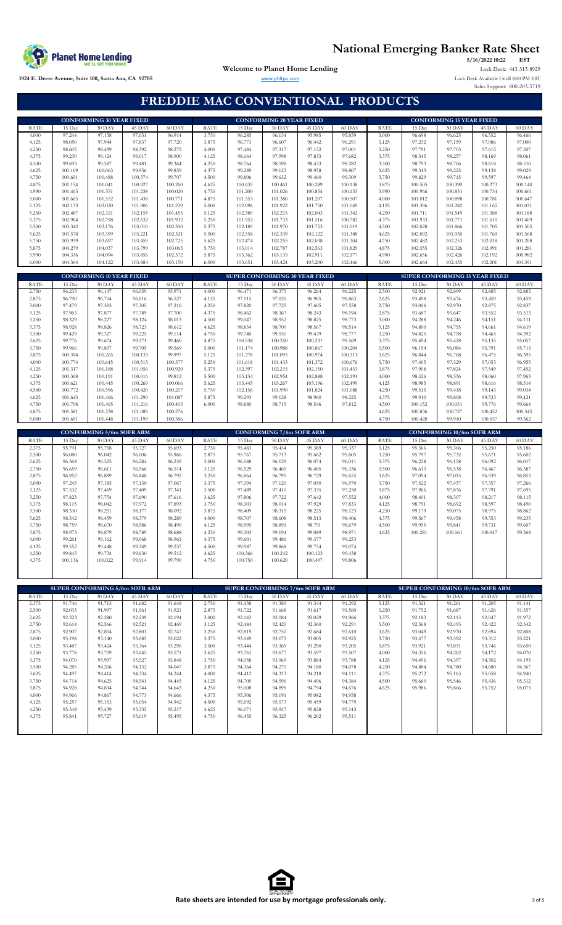

**EST** www.phltpo.com Lock Desk Available Untill 8:00 PM EST Sales Support: 800-203-5719 **5/16/2022 10:22 Welcome to Planet Home Lending** Lock Desk: 443-313-8929

**1924 E. Deere Avenue, Suite 100, Santa Ana, CA 92705**

**FREDDIE MAC CONVENTIONAL PRODUCTS**

|                      |                                       | <b>CONFORMING 30 YEAR FIXED</b> |                    |                    |                      |                    | <b>CONFORMING 20 YEAR FIXED</b>       |                    |                    |                      |                    | <b>CONFORMING 15 YEAR FIXED</b>       |                    |                    |
|----------------------|---------------------------------------|---------------------------------|--------------------|--------------------|----------------------|--------------------|---------------------------------------|--------------------|--------------------|----------------------|--------------------|---------------------------------------|--------------------|--------------------|
| <b>RATE</b>          | 15 Day                                | 30 DAY                          | 45 DAY             | 60 DAY             | <b>RATE</b>          | 15 Day             | 30 DAY                                | 45 DAY             | 60 DAY             | <b>RATE</b>          | 15 Day             | $30$ DAY                              | 45 DAY             | 60 DAY             |
| 4.000                | 97.244                                | 97.138                          | 97.031             | 96.914             | 3.750                | 96.285             | 96.134                                | 95.985             | 95.859             | 3.000                | 96.698             | 96.625                                | 96.552             | 96.466             |
| 4.125                | 98.050                                | 97.944                          | 97.837             | 97.720             | 3.875                | 96.773             | 96.607                                | 96.442             | 96.291             | 3.125                | 97.232             | 97.159                                | 97.086             | 97.000             |
| 4.250                | 98.605                                | 98.499                          | 98.392             | 98.275             | 4.000                | 97.484             | 97.317                                | 97.152             | 97.001             | 3.250                | 97.791             | 97.703                                | 97.615             | 97.507             |
| 4.375                | 99.230                                | 99.124                          | 99.017             | 98.900             | 4.125                | 98.164             | 97.998                                | 97.833             | 97.682             | 3.375                | 98.345             | 98.257                                | 98.169             | 98.061             |
| 4.500<br>4.625       | 99.693<br>100.169                     | 99.587<br>100.063               | 99.481<br>99.956   | 99.364<br>99.839   | 4.250<br>4.375       | 98.764<br>99.289   | 98.598<br>99.123                      | 98.433<br>98.958   | 98.282<br>98.807   | 3.500<br>3.625       | 98.793<br>99.313   | 98.706<br>99.225                      | 98.618<br>99.138   | 98.510<br>99.029   |
| 4.750                | 100.601                               | 100.488                         | 100.374            | 99.707             | 4.500                | 99.806             | 99.632                                | 99.460             | 99.309             | 3.750                | 99.829             | 99.715                                | 99.597             | 99.464             |
| 4.875                | 101.154                               | 101.041                         | 100.927            | 100.260            | 4.625                | 100.635            | 100.461                               | 100.289            | 100.138            | 3.875                | 100.505            | 100.390                               | 100.273            | 100.140            |
| 4.990                | 101.465                               | 101.351                         | 101.238            | 100.020            | 4.750                | 101.200            | 101.026                               | 100.854            | 100.153            | 3.990                | 100.966            | 100.851                               | 100.734            | 100.601            |
| 5.000                | 101.665                               | 101.552                         | 101.438            | 100.771            | 4.875                | 101.553            | 101.380                               | 101.207            | 100.507            | 4.000                | 101.012            | 100.898                               | 100.781            | 100.647            |
| 5.125                | 102.133                               | 102.020                         | 101.906            | 101.239            | 5.000                | 102.096            | 101.922                               | 101.750            | 101.049            | 4.125                | 101.396            | 101.282                               | 101.165            | 101.031            |
| 5.250                | 102.487                               | 102.321                         | 102.155            | 101.455            | 5.125                | 102.389            | 102.215                               | 102.043            | 101.342            | 4.250                | 101.711            | 101.549                               | 101.388            | 101.188            |
| 5.375                | 102.964                               | 102.798                         | 102.632            | 101.932            | 5.250                | 101.952            | 101.733                               | 101.516            | 100.782            | 4.375                | 101.933            | 101.771                               | 101.610            | 101.409            |
| 5.500                | 103.342                               | 103.176                         | 103.010            | 102.310            | 5.375                | 102.189            | 101.970                               | 101.753            | 101.019            | 4.500                | 102.028            | 101.866                               | 101.705            | 101.505            |
| 5.625<br>5.750       | 103.578<br>103.939                    | 103.399<br>103.697              | 103.221<br>103.459 | 102.521<br>102.725 | 5.500<br>5.625       | 102.558<br>102.474 | 102.339<br>102.255                    | 102.122<br>102.038 | 101.388<br>101.304 | 4.625<br>4.750       | 102.092<br>102.482 | 101.930<br>102.253                    | 101.769<br>102.018 | 101.568<br>101.208 |
| 5.875                | 104.279                               | 104.037                         | 103.799            | 103.065            | 5.750                | 103.014            | 102.787                               | 102.563            | 101.829            | 4.875                | 102.555            | 102.326                               | 102.091            | 101.281            |
| 5.990                | 104.336                               | 104.094                         | 103.856            | 102.572            | 5.875                | 103.362            | 103.135                               | 102.911            | 102.177            | 4.990                | 102.656            | 102.426                               | 102.192            | 100.982            |
| 6.000                | 104.364                               | 104.122                         | 103.884            | 103.150            | 6.000                | 103.651            | 103.424                               | 103.200            | 102.466            | 5.000                | 102.664            | 102.435                               | 102.201            | 101.391            |
|                      |                                       |                                 |                    |                    |                      |                    |                                       |                    |                    |                      |                    |                                       |                    |                    |
|                      |                                       | <b>CONFORMING 10 YEAR FIXED</b> |                    |                    |                      |                    | <b>SUPER CONFORMING 30 YEAR FIXED</b> |                    |                    |                      |                    | <b>SUPER CONFORMING 15 YEAR FIXED</b> |                    |                    |
| RATE                 | 15 Day                                | $30$ DAY                        | 45 DAY             | 60 DAY             | <b>RATE</b>          | 15 Day             | $30$ DAY                              | 45 DAY             | 60 DAY             | <b>RATE</b>          | 15 Day             | $30$ DAY                              | 45 DAY             | 60 DAY             |
| 2.750                | 96.233                                | 96.147                          | 96.059             | 95.971             | 4.000                | 96.471             | 96.375                                | 96.264             | 96.225             | 2.500                | 92.921             | 92.899                                | 92.885             | 92.885             |
| 2.875<br>3.000       | 96.790<br>97.479                      | 96.704<br>97.393                | 96.616<br>97.305   | 96.527<br>97.216   | 4.125<br>4.250       | 97.115<br>97.820   | 97.020<br>97.725                      | 96.905<br>97.605   | 96.863<br>97.558   | 2.625<br>2.750       | 93.498<br>93.006   | 93.474<br>92.970                      | 93.459<br>92.875   | 93.459<br>92.837   |
| 3.125                | 97.963                                | 97.877                          | 97.789             | 97.700             | 4.375                | 98.462             | 98.367                                | 98.243             | 98.194             | 2.875                | 93.687             | 93.647                                | 93.552             | 93.513             |
| 3.250                | 98.329                                | 98.227                          | 98.124             | 98.013             | 4.500                | 99.047             | 98.952                                | 98.825             | 98.773             | 3.000                | 94.288             | 94.246                                | 94.151             | 94.111             |
| 3.375                | 98.928                                | 98.826                          | 98.723             | 98.612             | 4.625                | 98.834             | 98.700                                | 98.567             | 98.514             | 3.125                | 94.800             | 94.755                                | 94.661             | 94.619             |
| 3.500                | 99.429                                | 99.327                          | 99.225             | 99.114             | 4.750                | 99.740             | 99.550                                | 99.439             | 98.777             | 3.250                | 94.825             | 94.758                                | 94.465             | 94.392             |
| 3.625                | 99.776                                | 99.674                          | 99.571             | 99.460             | 4.875                | 100.538            | 100.350                               | 100.231            | 99.569             | 3.375                | 95.494             | 95.428                                | 95.135             | 95.057             |
| 3.750                | 99.966                                | 99.837                          | 99.705             | 99.569             | 5.000                | 101.174            | 100.988                               | 100.867            | 100.204            | 3.500                | 96.154             | 96.084                                | 95.791             | 95.713             |
| 3.875                | 100.394                               | 100.265                         | 100.133            | 99.997             | 5.125                | 101.278            | 101.095                               | 100.974            | 100.311            | 3.625                | 96.844             | 96.768                                | 96.475             | 96.395             |
| 4.000<br>4.125       | 100.774<br>101.317                    | 100.645<br>101.188              | 100.513<br>101.056 | 100.377<br>100.920 | 5.250<br>5.375       | 101.618<br>102.397 | 101.433<br>102.215                    | 101.372<br>102.150 | 100.676<br>101.453 | 3.750                | 97.405<br>97.908   | 97.329<br>97.824                      | 97.053<br>97.549   | 96.955<br>97.452   |
| 4.250                | 100.368                               | 100.191                         | 100.016            | 99.812             | 5.500                | 103.134            | 102.954                               | 102.888            | 102.191            | 3.875<br>4.000       | 98.426             | 98.336                                | 98.060             | 97.963             |
| 4.375                | 100.621                               | 100.445                         | 100.269            | 100.066            | 5.625                | 103.445            | 103.267                               | 103.196            | 102.499            | 4.125                | 98.985             | 98.891                                | 98.616             | 98.514             |
| 4.500                | 100.772                               | 100.596                         | 100.420            | 100.217            | 5.750                | 102.156            | 101.990                               | 101.824            | 101.088            | 4.250                | 99.515             | 99.418                                | 99.143             | 99.034             |
| 4.625                | 101.643                               | 101.466                         | 101.290            | 101.087            | 5.875                | 99.293             | 99.128                                | 98.960             | 98.225             | 4.375                | 99.910             | 99.808                                | 99.533             | 99.421             |
| 4.750                | 101.708                               | 101.465                         | 101.216            | 100.403            | 6.000                | 98.880             | 98.715                                | 98.546             | 97.812             | 4.500                | 100.152            | 100.051                               | 99.776             | 99.664             |
| 4.875                | 101.581                               | 101.338                         | 101.089            | 100.276            |                      |                    |                                       |                    |                    | 4.625                | 100.836            | 100.727                               | 100.452            | 100.345            |
| 5.000                |                                       | 101.448                         |                    |                    |                      |                    |                                       |                    |                    |                      |                    |                                       |                    |                    |
|                      | 101.691                               |                                 | 101.199            | 100.386            |                      |                    |                                       |                    |                    | 4.750                | 100.428            | 99.910                                | 100,037            | 99.362             |
|                      |                                       |                                 |                    |                    |                      |                    |                                       |                    |                    |                      |                    |                                       |                    |                    |
|                      |                                       | <b>CONFORMING 5/6m SOFR ARM</b> |                    |                    |                      |                    | <b>CONFORMING 7/6m SOFR ARM</b>       |                    |                    |                      |                    | <b>CONFORMING 10/6m SOFR ARM</b>      |                    |                    |
| <b>RATE</b><br>2.375 | 15 Day<br>95.791                      | $30$ DAY<br>95.758              | 45 DAY<br>95.727   | 60 DAY<br>95.693   | <b>RATE</b><br>2.750 | 15 Day<br>95.483   | 30 DAY<br>95.434                      | 45 DAY<br>95.389   | 60 DAY<br>95.337   | <b>RATE</b><br>3.125 | 15 Day<br>95.366   | $30$ DAY<br>95.306                    | 45 DAY<br>95.250   | 60 DAY<br>95.186   |
| 2.500                | 96.080                                | 96.042                          | 96.006             | 95.966             | 2.875                | 95.767             | 95.713                                | 95.662             | 95.605             | 3.250                | 95.797             | 95.732                                | 95.671             | 95.602             |
| 2.625                | 96.368                                | 96.325                          | 96.284             | 96.239             | 3.000                | 96.188             | 96.129                                | 96.074             | 96.011             | 3.375                | 96.228             | 96.158                                | 96.092             | 96.017             |
| 2.750                | 96.659                                | 96.611                          | 96.566             | 96.514             | 3.125                | 96.529             | 96.465                                | 96.405             | 96.336             | 3.500                | 96.613             | 96.538                                | 96.467             | 96.387             |
| 2.875                | 96.952                                | 96.899                          | 96.848             | 96.792             | 3.250                | 96.864             | 96.795                                | 96.729             | 96.655             | 3.625                | 97.094             | 97.015                                | 96.939             | 96.853             |
| 3.000                | 97.243                                | 97.185                          | 97.130             | 97.067             | 3.375                | 97.194             | 97.120                                | 97.050             | 96.970             | 3.750                | 97.522             | 97.437                                | 97.357             | 97.266             |
| 3.125                | 97.532                                | 97.469                          | 97.409             | 97.341             | 3.500                | 97.489             | 97.410                                | 97.335             | 97.250             | 3.875                | 97.966             | 97.876                                | 97.791             | 97.695             |
| 3.250                | 97.823                                | 97.754                          | 97.690             | 97.616             | 3.625                | 97.806             | 97.722                                | 97.642             | 97.552             | 4.000                | 98.401             | 98.307                                | 98.217             | 98.115             |
| 3.375                | 98.115<br>98.330                      | 98.042                          | 97.972<br>98.177   | 97.893             | 3.750<br>3.875       | 98.103             | 98.014                                | 97.929<br>98.225   | 97.833             | 4.125                | 98.791<br>99.179   | 98.692<br>99.075                      | 98.597<br>98.975   | 98.490             |
| 3.500<br>3.625       | 98.542                                | 98.251<br>98.459                | 98.379             | 98.092<br>98.289   | 4.000                | 98.409<br>98.707   | 98.315<br>98.608                      | 98.513             | 98.123<br>98.406   | 4.250<br>4.375       | 99.567             | 99.458                                | 99.353             | 98.862<br>99.235   |
| 3.750                | 98.759                                | 98.670                          | 98.586             | 98.490             | 4.125                | 98.995             | 98.891                                | 98.791             | 98.679             | 4.500                | 99.955             | 99.841                                | 99.731             | 99.607             |
| 3.875                | 98.973                                | 98.879                          | 98.789             | 98.688             | 4.250                | 99.303             | 99.194                                | 99.089             | 98.971             | 4.625                | 100.281            | 100.161                               | 100.047            | 99.368             |
| 4.000                | 99.261                                | 99.162                          | 99.068             | 98.961             | 4.375                | 99.601             | 99.486                                | 99.377             | 99.253             |                      |                    |                                       |                    |                    |
| 4.125                | 99.552                                | 99.448                          | 99.349             | 99.237             | 4.500                | 99.987             | 99.868                                | 99.754             | 99.074             |                      |                    |                                       |                    |                    |
| 4.250                | 99.843                                | 99.734                          | 99.630             | 99.512             | 4.625                | 100.366            | 100.242                               | 100.123            | 99.438             |                      |                    |                                       |                    |                    |
| 4.375                | 100.136                               | 100.022                         | 99.914             | 99.790             | 4.750                | 100.750            | 100.620                               | 100.497            | 99.806             |                      |                    |                                       |                    |                    |
|                      |                                       |                                 |                    |                    |                      |                    |                                       |                    |                    |                      |                    |                                       |                    |                    |
|                      |                                       |                                 |                    |                    |                      |                    |                                       |                    |                    |                      |                    |                                       |                    |                    |
|                      | <b>SUPER CONFORMING 5/6m SOFR ARM</b> |                                 |                    |                    |                      |                    | SUPER CONFORMING 7/6m SOFR ARM        |                    |                    |                      |                    | SUPER CONFORMING 10/6m SOFR ARM       |                    |                    |
| <b>RATE</b>          | 15 Day                                | 30 DAY                          | 45 DAY             | 60 DAY             | <b>RATE</b>          | 15 Day             | 30 DAY                                | 45 DAY             | 60 DAY             | <b>RATE</b>          | 15 Day             | 30 DAY                                | 45 DAY             | 60 DAY             |
| 2.375                | 91.746                                | 91.713                          | 91.682             | 91.648             | 2.750                | 91.438             | 91.389                                | 91.344             | 91.292             | 3.125                | 91.321             | 91.261                                | 91.205             | 91.141             |
| 2.500                | 92.035                                | 91.997                          | 91.961             | 91.921             | 2.875                | 91.722             | 91.668                                | 91.617             | 91.560             | 3.250                | 91.752             | 91.687                                | 91.626             | 91.557             |
| 2.625                | 92.323                                | 92.280                          | 92.239             | 92.194             | 3.000                | 92.143             | 92.084                                | 92.029             | 91.966             | 3.375                | 92.183             | 92.113                                | 92.047             | 91.972             |
| 2.750                | 92.614<br>92.907                      | 92.566                          | 92.521<br>92.803   | 92.469             | 3.125<br>3.250       | 92.484             | 92.420<br>92.750                      | 92.360             | 92.291             | 3.500                | 92.568             | 92.493                                | 92.422             | 92.342             |
| 2.875<br>3.000       | 93.198                                | 92.854<br>93.140                | 93.085             | 92.747<br>93.022   | 3.375                | 92.819<br>93.149   | 93.075                                | 92.684<br>93.005   | 92.610<br>92.925   | 3.625<br>3.750       | 93.049<br>93.477   | 92.970<br>93.392                      | 92.894<br>93.312   | 92.808<br>93.221   |
| 3.125                | 93.487                                | 93.424                          | 93.364             | 93.296             | 3.500                | 93.444             | 93.365                                | 93.290             | 93.205             | 3.875                | 93.921             | 93.831                                | 93.746             | 93.650             |
| 3.250                | 93.778                                | 93.709                          | 93.645             | 93.571             | 3.625                | 93.761             | 93.677                                | 93.597             | 93.507             | 4.000                | 94.356             | 94.262                                | 94.172             | 94.070             |
| 3.375                | 94.070                                | 93.997                          | 93.927             | 93.848             | 3.750                | 94.058             | 93.969                                | 93.884             | 93.788             | 4.125                | 94.496             | 94.397                                | 94.302             | 94.195             |
| 3.500                | 94.285                                | 94.206                          | 94.132             | 94.047             | 3.875                | 94.364             | 94.270                                | 94.180             | 94.078             | 4.250                | 94.884             | 94.780                                | 94.680             | 94.567             |
| 3.625                | 94.497                                | 94.414                          | 94.334             | 94.244             | 4.000                | 94.412             | 94.313                                | 94.218             | 94.111             | 4.375                | 95.272             | 95.163                                | 95.058             | 94.940             |
| 3.750                | 94.714                                | 94.625                          | 94.541             | 94.445             | 4.125                | 94.700             | 94.596                                | 94.496             | 94.384             | 4.500                | 95.660             | 95.546                                | 95.436             | 95.312             |
| 3.875                | 94.928                                | 94.834                          | 94.744             | 94.643             | 4.250                | 95.008             | 94.899                                | 94.794             | 94.676             | 4.625                | 95.986             | 95.866                                | 95.752             | 95.073             |
| 4.000<br>4.125       | 94.966<br>95.257                      | 94.867<br>95.153                | 94.773<br>95.054   | 94.666<br>94.942   | 4.375<br>4.500       | 95.306             | 95.191                                | 95.082             | 94.958<br>94.779   |                      |                    |                                       |                    |                    |
| 4.250                | 95.548                                | 95.439                          | 95.335             | 95.217             | 4.625                | 95.692<br>96.071   | 95.573<br>95.947                      | 95.459<br>95.828   | 95.143             |                      |                    |                                       |                    |                    |
| 4.375                | 95.841                                | 95.727                          | 95.619             | 95.495             | 4.750                | 96.455             | 96.325                                | 96.202             | 95.511             |                      |                    |                                       |                    |                    |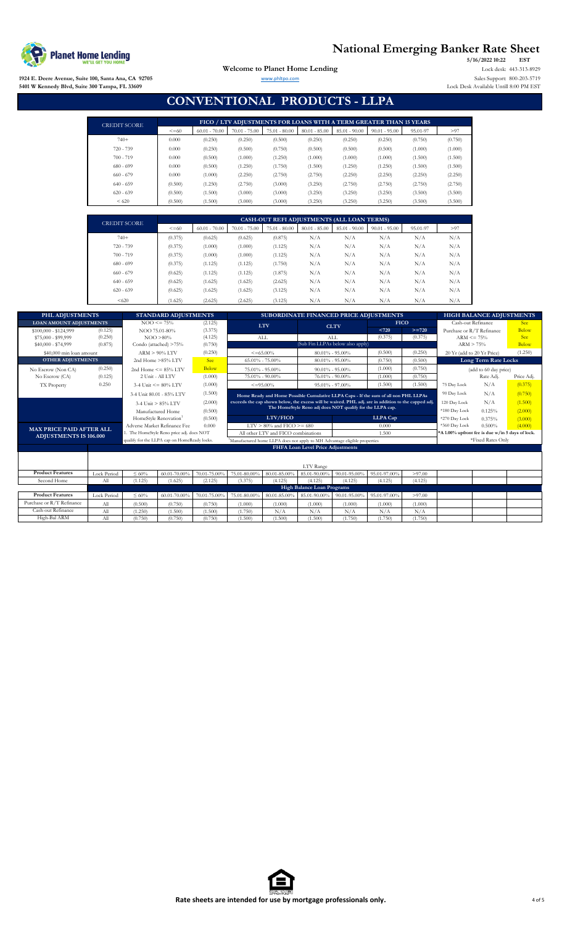

**1924 E. Deere Avenue, Suite 100, Santa Ana, CA 92705 5401 W Kennedy Blvd, Suite 300 Tampa, FL 33609**

**EST** Lock Desk Available Untill 8:00 PM EST **5/16/2022 10:22** Welcome to Planet Home Lending Lock desk: 443-313-8929 www.phltpo.com Sales Support: 800-203-5719

### **CONVENTIONAL PRODUCTS - LLPA**

| <b>CREDIT SCORE</b> |            |                 | FICO / LTV ADJUSTMENTS FOR LOANS WITH A TERM GREATER THAN 15 YEARS |                 |                 |                 |                 |          |         |
|---------------------|------------|-----------------|--------------------------------------------------------------------|-----------------|-----------------|-----------------|-----------------|----------|---------|
|                     | $\leq$ =60 | $60.01 - 70.00$ | $70.01 - 75.00$                                                    | $75.01 - 80.00$ | $80.01 - 85.00$ | $85.01 - 90.00$ | $90.01 - 95.00$ | 95.01-97 | >97     |
| $740+$              | 0.000      | (0.250)         | (0.250)                                                            | (0.500)         | (0.250)         | (0.250)         | (0.250)         | (0.750)  | (0.750) |
| $720 - 739$         | 0.000      | (0.250)         | (0.500)                                                            | (0.750)         | (0.500)         | (0.500)         | (0.500)         | (1.000)  | (1.000) |
| $700 - 719$         | 0.000      | (0.500)         | (1.000)                                                            | (1.250)         | (1.000)         | (1.000)         | (1.000)         | (1.500)  | (1.500) |
| $680 - 699$         | 0.000      | (0.500)         | (1.250)                                                            | (1.750)         | (1.500)         | (1.250)         | (1.250)         | (1.500)  | (1.500) |
| $660 - 679$         | 0.000      | (1.000)         | (2.250)                                                            | (2.750)         | (2.750)         | (2.250)         | (2.250)         | (2.250)  | (2.250) |
| $640 - 659$         | (0.500)    | (1.250)         | (2.750)                                                            | (3.000)         | (3.250)         | (2.750)         | (2.750)         | (2.750)  | (2.750) |
| $620 - 639$         | (0.500)    | (1.500)         | (3.000)                                                            | (3.000)         | (3.250)         | (3.250)         | (3.250)         | (3.500)  | (3.500) |
| < 620               | (0.500)    | (1.500)         | (3.000)                                                            | (3.000)         | (3.250)         | (3.250)         | (3.250)         | (3.500)  | (3.500) |

| <b>CREDIT SCORE</b> | CASH-OUT REFI ADJUSTMENTS (ALL LOAN TERMS) |                 |                 |                 |                 |                 |                 |          |      |  |  |
|---------------------|--------------------------------------------|-----------------|-----------------|-----------------|-----------------|-----------------|-----------------|----------|------|--|--|
|                     | $\leq$ =60                                 | $60.01 - 70.00$ | $70.01 - 75.00$ | $75.01 - 80.00$ | $80.01 - 85.00$ | $85.01 - 90.00$ | $90.01 - 95.00$ | 95.01-97 | > 97 |  |  |
| $740+$              | (0.375)                                    | (0.625)         | (0.625)         | (0.875)         | N/A             | N/A             | N/A             | N/A      | N/A  |  |  |
| $720 - 739$         | (0.375)                                    | (1.000)         | (1.000)         | (1.125)         | N/A             | N/A             | N/A             | N/A      | N/A  |  |  |
| $700 - 719$         | (0.375)                                    | (1.000)         | (1.000)         | (1.125)         | N/A             | N/A             | N/A             | N/A      | N/A  |  |  |
| $680 - 699$         | (0.375)                                    | (1.125)         | (1.125)         | (1.750)         | N/A             | N/A             | N/A             | N/A      | N/A  |  |  |
| $660 - 679$         | (0.625)                                    | (1.125)         | (1.125)         | (1.875)         | N/A             | N/A             | N/A             | N/A      | N/A  |  |  |
| $640 - 659$         | (0.625)                                    | (1.625)         | (1.625)         | (2.625)         | N/A             | N/A             | N/A             | N/A      | N/A  |  |  |
| $620 - 639$         | (0.625)                                    | (1.625)         | (1.625)         | (3.125)         | N/A             | N/A             | N/A             | N/A      | N/A  |  |  |
| < 620               | (1.625)                                    | (2.625)         | (2.625)         | (3.125)         | N/A             | N/A             | N/A             | N/A      | N/A  |  |  |

| PHL ADJUSTMENTS                 |                    |                                              | <b>STANDARD ADJUSTMENTS</b>  |                                              |                                                                           |                                        |                                   |                                                  | SUBORDINATE FINANCED PRICE ADJUSTMENTS                                                              |               |                            | <b>HIGH BALANCE ADJUSTMENTS</b> |            |
|---------------------------------|--------------------|----------------------------------------------|------------------------------|----------------------------------------------|---------------------------------------------------------------------------|----------------------------------------|-----------------------------------|--------------------------------------------------|-----------------------------------------------------------------------------------------------------|---------------|----------------------------|---------------------------------|------------|
| <b>LOAN AMOUNT ADJUSTMENTS</b>  |                    |                                              | $NOO \le 75\%$               | (2.125)                                      |                                                                           | <b>LTV</b>                             |                                   | <b>CLTV</b>                                      | <b>FICO</b>                                                                                         |               | Cash-out Refinance         |                                 | <b>See</b> |
| \$100,000 - \$124,999           | (0.125)            |                                              | NOO 75.01-80%                | (3.375)                                      |                                                                           |                                        |                                   |                                                  | < 720                                                                                               | $>= 720$      | Purchase or R/T Refinance  |                                 | Below      |
| \$75,000 - \$99,999             | (0.250)            |                                              | $NOO > 80\%$                 | (4.125)                                      | ALL                                                                       |                                        |                                   | <b>ALL</b>                                       | (0.375)                                                                                             | (0.375)       | $ARM \le 75\%$             |                                 | <b>See</b> |
| \$40,000 - \$74,999             | (0.875)            |                                              | Condo (attached) >75%        | (0.750)                                      | (Sub Fin LLPAs below also apply)                                          |                                        |                                   |                                                  | ARM > 75%                                                                                           |               | Below                      |                                 |            |
| \$40,000 min loan amount        |                    |                                              | $ARM > 90\%$ LTV             | (0.250)                                      |                                                                           | $\leq$ = 65.00%<br>$80.01\% - 95.00\%$ |                                   |                                                  | (0.500)                                                                                             | (0.250)       | 20 Yr (add to 20 Yr Price) |                                 | (1.250)    |
| <b>OTHER ADJUSTMENTS</b>        |                    |                                              | 2nd Home >85% LTV            | <b>See</b>                                   |                                                                           | $65.01\% - 75.00\%$                    |                                   | $80.01\% - 95.00\%$                              | (0.750)                                                                                             | (0.500)       |                            | Long Term Rate Locks            |            |
| (0.250)<br>No Escrow (Non CA)   |                    |                                              | 2nd Home $\leq$ = 85% LTV    | Below                                        |                                                                           | 75.01% - 95.00%                        | $90.01\% - 95.00\%$               |                                                  | (1.000)                                                                                             | (0.750)       |                            | (add to 60 day price)           |            |
| No Escrow (CA)                  | (0.125)            |                                              | 2 Unit - All LTV             | (1.000)                                      |                                                                           | 75.01% - 90.00%                        |                                   | 76.01% - 90.00%                                  | (1,000)                                                                                             | (0.750)       |                            | Rate Adj.                       | Price Adi. |
| TX Property                     | 0.250              |                                              | 3-4 Unit $\leq$ = 80% LTV    | (1.000)                                      |                                                                           | $\leq$ =95.00%                         |                                   | $95.01\% - 97.00\%$                              | (1.500)                                                                                             | (1.500)       | 75 Day Lock                | N/A                             | (0.375)    |
|                                 |                    |                                              | 3-4 Unit 80.01 - 85% LTV     | (1.500)                                      |                                                                           |                                        |                                   |                                                  | Home Ready and Home Possible Cumulative LLPA Caps - If the sum of all non PHL LLPAs                 |               | 90 Day Lock                | N/A                             | (0.750)    |
|                                 |                    |                                              | $3-4$ Unit $> 85\%$ LTV      | (2.000)                                      |                                                                           |                                        |                                   |                                                  | exceeds the cap shown below, the excess will be waived. PHL adj. are in addition to the capped adj. |               | 120 Day Lock               | N/A                             | (1.500)    |
|                                 |                    |                                              | Manufactured Home            | (0.500)                                      | The HomeStyle Reno adj does NOT qualify for the LLPA cap.                 |                                        |                                   |                                                  |                                                                                                     | *180 Day Lock | 0.125%                     | (2.000)                         |            |
|                                 |                    |                                              | HomeStyle Renovation         | (0.500)                                      | LTV/FICO<br><b>LLPA</b> Cap                                               |                                        |                                   |                                                  | *270 Day Lock                                                                                       | 0.375%        | (3.000)                    |                                 |            |
| <b>MAX PRICE PAID AFTER ALL</b> |                    |                                              | Adverse Market Refinance Fee | 0.000                                        | $LTV$ > 80% and FICO >= 680<br>0.000                                      |                                        |                                   |                                                  | *360 Day Lock                                                                                       | 0.500%        | (4.000)                    |                                 |            |
| <b>ADJUSTMENTS IS 106.000</b>   |                    | 1. The HomeStyle Reno price adj. does NOT    |                              | All other LTV and FICO combinations<br>1.500 |                                                                           |                                        |                                   | *A 1.00% upfront fee is due w/in 5 days of lock. |                                                                                                     |               |                            |                                 |            |
|                                 |                    | qualify for the LLPA cap on HomeReady locks. |                              |                                              | Manufactured home LLPA does not apply to MH Advantage eligible properties |                                        |                                   |                                                  |                                                                                                     |               |                            | *Fixed Rates Only               |            |
|                                 |                    |                                              |                              |                                              |                                                                           |                                        | FHFA Loan Level Price Adjustments |                                                  |                                                                                                     |               |                            |                                 |            |
|                                 |                    |                                              |                              |                                              |                                                                           |                                        |                                   |                                                  |                                                                                                     |               |                            |                                 |            |
|                                 |                    |                                              |                              |                                              |                                                                           |                                        | LTV Range                         |                                                  |                                                                                                     |               |                            |                                 |            |
| <b>Product Features</b>         | <b>Lock Period</b> | $\leq 60\%$                                  | 60.01-70.00%                 | 70.01-75.00%                                 | 75.01-80.00%                                                              | 80.01-85.009                           | 85.01-90.00%                      | 90.01-95.00%                                     | 95.01-97.00%                                                                                        | >97.00        |                            |                                 |            |
| Second Home                     | All                | (1.125)                                      | (1.625)                      | (2.125)                                      | (3.375)                                                                   | (4.125)                                | (4.125)                           | (4.125)                                          | (4.125)                                                                                             | (4.125)       |                            |                                 |            |
|                                 |                    |                                              |                              |                                              |                                                                           |                                        | <b>High Balance Loan Programs</b> |                                                  |                                                                                                     |               |                            |                                 |            |
| <b>Product Features</b>         | <b>Lock Period</b> | $\leq 60\%$                                  | 60.01-70.00%                 | 70.01-75.00%                                 | 75.01-80.00                                                               | 80.01-85.009                           | 85.01-90.00%                      | 90.01-95.00%                                     | 95.01-97.00%                                                                                        | >97.00        |                            |                                 |            |
| Purchase or R/T Refinance       | All                | (0.500)                                      | (0.750)                      | (0.750)                                      | (1,000)                                                                   | (1,000)                                | (1.000)                           | (1,000)                                          | (1,000)                                                                                             | (1,000)       |                            |                                 |            |
| Cash-out Refinance              | All                | (1.250)                                      | (1.500)                      | (1.500)                                      | (1.750)                                                                   | N/A                                    | N/A                               | N/A                                              | N/A                                                                                                 | N/A           |                            |                                 |            |
| High-Bal ARM                    | All                | (0.750)                                      | (0.750)                      | (0.750)                                      | (1.500)                                                                   | (1.500)                                | (1.500)                           | (1.750)                                          | (1.750)                                                                                             | (1.750)       |                            |                                 |            |